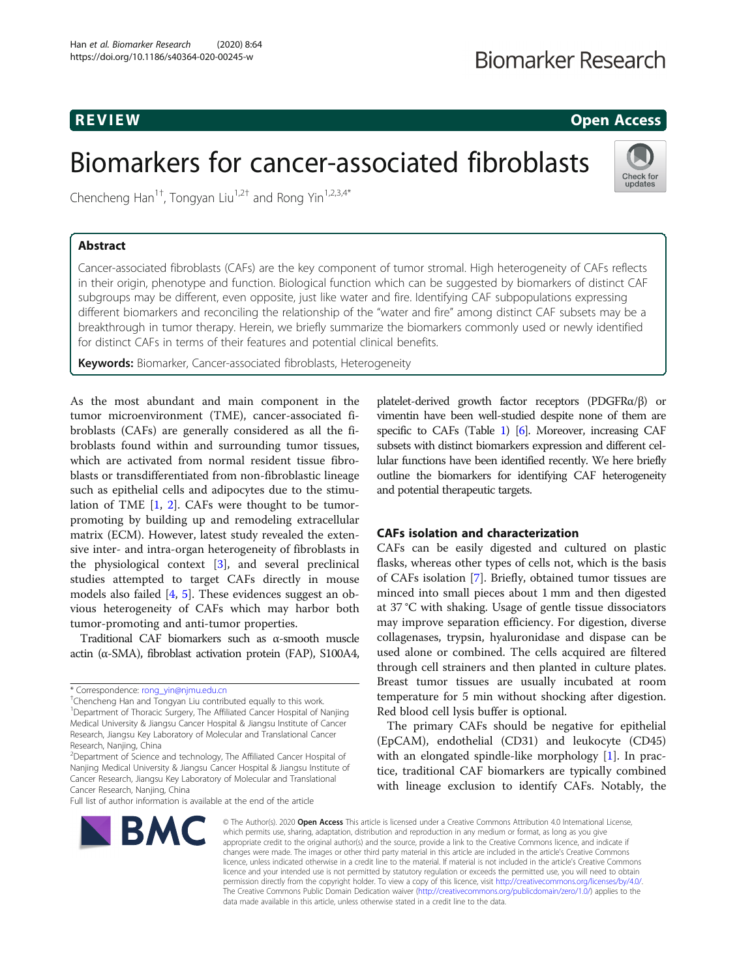# **Biomarker Research**

R EVI EW Open Access

Check for updates

# Biomarkers for cancer-associated fibroblasts

Chencheng Han<sup>1†</sup>, Tongyan Liu<sup>1,2†</sup> and Rong Yin<sup>1,2,3,4\*</sup>

# Abstract

Cancer-associated fibroblasts (CAFs) are the key component of tumor stromal. High heterogeneity of CAFs reflects in their origin, phenotype and function. Biological function which can be suggested by biomarkers of distinct CAF subgroups may be different, even opposite, just like water and fire. Identifying CAF subpopulations expressing different biomarkers and reconciling the relationship of the "water and fire" among distinct CAF subsets may be a breakthrough in tumor therapy. Herein, we briefly summarize the biomarkers commonly used or newly identified for distinct CAFs in terms of their features and potential clinical benefits.

Keywords: Biomarker, Cancer-associated fibroblasts, Heterogeneity

As the most abundant and main component in the tumor microenvironment (TME), cancer-associated fibroblasts (CAFs) are generally considered as all the fibroblasts found within and surrounding tumor tissues, which are activated from normal resident tissue fibroblasts or transdifferentiated from non-fibroblastic lineage such as epithelial cells and adipocytes due to the stimulation of TME [\[1](#page-5-0), [2](#page-5-0)]. CAFs were thought to be tumorpromoting by building up and remodeling extracellular matrix (ECM). However, latest study revealed the extensive inter- and intra-organ heterogeneity of fibroblasts in the physiological context [[3\]](#page-5-0), and several preclinical studies attempted to target CAFs directly in mouse models also failed [[4,](#page-5-0) [5\]](#page-5-0). These evidences suggest an obvious heterogeneity of CAFs which may harbor both tumor-promoting and anti-tumor properties.

Traditional CAF biomarkers such as α-smooth muscle actin (α-SMA), fibroblast activation protein (FAP), S100A4,

<sup>2</sup>Department of Science and technology, The Affiliated Cancer Hospital of Nanjing Medical University & Jiangsu Cancer Hospital & Jiangsu Institute of Cancer Research, Jiangsu Key Laboratory of Molecular and Translational Cancer Research, Nanjing, China

Full list of author information is available at the end of the article



platelet-derived growth factor receptors (PDGFRα/β) or vimentin have been well-studied despite none of them are specific to CAFs (Table [1](#page-1-0)) [\[6](#page-5-0)]. Moreover, increasing CAF subsets with distinct biomarkers expression and different cellular functions have been identified recently. We here briefly outline the biomarkers for identifying CAF heterogeneity and potential therapeutic targets.

# CAFs isolation and characterization

CAFs can be easily digested and cultured on plastic flasks, whereas other types of cells not, which is the basis of CAFs isolation [\[7](#page-6-0)]. Briefly, obtained tumor tissues are minced into small pieces about 1 mm and then digested at 37 °C with shaking. Usage of gentle tissue dissociators may improve separation efficiency. For digestion, diverse collagenases, trypsin, hyaluronidase and dispase can be used alone or combined. The cells acquired are filtered through cell strainers and then planted in culture plates. Breast tumor tissues are usually incubated at room temperature for 5 min without shocking after digestion. Red blood cell lysis buffer is optional.

The primary CAFs should be negative for epithelial (EpCAM), endothelial (CD31) and leukocyte (CD45) with an elongated spindle-like morphology [[1\]](#page-5-0). In practice, traditional CAF biomarkers are typically combined with lineage exclusion to identify CAFs. Notably, the

© The Author(s), 2020 **Open Access** This article is licensed under a Creative Commons Attribution 4.0 International License, which permits use, sharing, adaptation, distribution and reproduction in any medium or format, as long as you give appropriate credit to the original author(s) and the source, provide a link to the Creative Commons licence, and indicate if changes were made. The images or other third party material in this article are included in the article's Creative Commons licence, unless indicated otherwise in a credit line to the material. If material is not included in the article's Creative Commons licence and your intended use is not permitted by statutory regulation or exceeds the permitted use, you will need to obtain permission directly from the copyright holder. To view a copy of this licence, visit [http://creativecommons.org/licenses/by/4.0/.](http://creativecommons.org/licenses/by/4.0/) The Creative Commons Public Domain Dedication waiver [\(http://creativecommons.org/publicdomain/zero/1.0/](http://creativecommons.org/publicdomain/zero/1.0/)) applies to the data made available in this article, unless otherwise stated in a credit line to the data.

<sup>\*</sup> Correspondence: [rong\\_yin@njmu.edu.cn](mailto:rong_yin@njmu.edu.cn) †

<sup>&</sup>lt;sup>+</sup>Chencheng Han and Tongyan Liu contributed equally to this work. <sup>1</sup>Department of Thoracic Surgery, The Affiliated Cancer Hospital of Nanjing Medical University & Jiangsu Cancer Hospital & Jiangsu Institute of Cancer Research, Jiangsu Key Laboratory of Molecular and Translational Cancer Research, Nanjing, China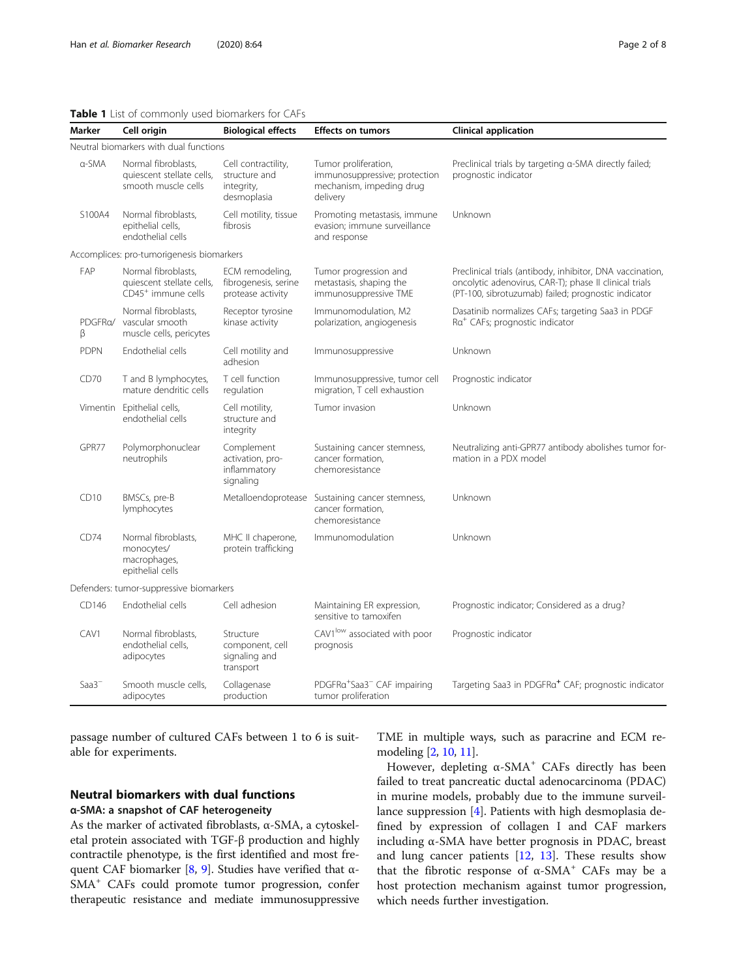## <span id="page-1-0"></span>Table 1 List of commonly used biomarkers for CAFs

| Marker       | Cell origin                                                                        | <b>Biological effects</b>                                         | <b>Effects on tumors</b>                                                                      | <b>Clinical application</b>                                                                                                                                                |
|--------------|------------------------------------------------------------------------------------|-------------------------------------------------------------------|-----------------------------------------------------------------------------------------------|----------------------------------------------------------------------------------------------------------------------------------------------------------------------------|
|              | Neutral biomarkers with dual functions                                             |                                                                   |                                                                                               |                                                                                                                                                                            |
| a-SMA        | Normal fibroblasts,<br>quiescent stellate cells,<br>smooth muscle cells            | Cell contractility,<br>structure and<br>integrity,<br>desmoplasia | Tumor proliferation,<br>immunosuppressive; protection<br>mechanism, impeding drug<br>delivery | Preclinical trials by targeting a-SMA directly failed;<br>prognostic indicator                                                                                             |
| S100A4       | Normal fibroblasts,<br>epithelial cells,<br>endothelial cells                      | Cell motility, tissue<br>fibrosis                                 | Promoting metastasis, immune<br>evasion; immune surveillance<br>and response                  | Unknown                                                                                                                                                                    |
|              | Accomplices: pro-tumorigenesis biomarkers                                          |                                                                   |                                                                                               |                                                                                                                                                                            |
| FAP          | Normal fibroblasts,<br>quiescent stellate cells,<br>CD45 <sup>+</sup> immune cells | ECM remodeling,<br>fibrogenesis, serine<br>protease activity      | Tumor progression and<br>metastasis, shaping the<br>immunosuppressive TME                     | Preclinical trials (antibody, inhibitor, DNA vaccination,<br>oncolytic adenovirus, CAR-T); phase II clinical trials<br>(PT-100, sibrotuzumab) failed; prognostic indicator |
| PDGFRa/<br>β | Normal fibroblasts,<br>vascular smooth<br>muscle cells, pericytes                  | Receptor tyrosine<br>kinase activity                              | Immunomodulation, M2<br>polarization, angiogenesis                                            | Dasatinib normalizes CAFs; targeting Saa3 in PDGF<br>Ra <sup>+</sup> CAFs; prognostic indicator                                                                            |
| <b>PDPN</b>  | Endothelial cells                                                                  | Cell motility and<br>adhesion                                     | Immunosuppressive                                                                             | Unknown                                                                                                                                                                    |
| CD70         | T and B lymphocytes,<br>mature dendritic cells                                     | T cell function<br>regulation                                     | Immunosuppressive, tumor cell<br>migration, T cell exhaustion                                 | Prognostic indicator                                                                                                                                                       |
|              | Vimentin Epithelial cells,<br>endothelial cells                                    | Cell motility,<br>structure and<br>integrity                      | Tumor invasion                                                                                | Unknown                                                                                                                                                                    |
| GPR77        | Polymorphonuclear<br>neutrophils                                                   | Complement<br>activation, pro-<br>inflammatory<br>signaling       | Sustaining cancer stemness,<br>cancer formation,<br>chemoresistance                           | Neutralizing anti-GPR77 antibody abolishes tumor for-<br>mation in a PDX model                                                                                             |
| CD10         | BMSCs, pre-B<br>lymphocytes                                                        | Metalloendoprotease                                               | Sustaining cancer stemness,<br>cancer formation,<br>chemoresistance                           | Unknown                                                                                                                                                                    |
| CD74         | Normal fibroblasts,<br>monocytes/<br>macrophages,<br>epithelial cells              | MHC II chaperone,<br>protein trafficking                          | Immunomodulation                                                                              | Unknown                                                                                                                                                                    |
|              | Defenders: tumor-suppressive biomarkers                                            |                                                                   |                                                                                               |                                                                                                                                                                            |
| CD146        | Endothelial cells                                                                  | Cell adhesion                                                     | Maintaining ER expression,<br>sensitive to tamoxifen                                          | Prognostic indicator; Considered as a drug?                                                                                                                                |
| CAV1         | Normal fibroblasts,<br>endothelial cells,<br>adipocytes                            | Structure<br>component, cell<br>signaling and<br>transport        | CAV1 <sup>low</sup> associated with poor<br>prognosis                                         | Prognostic indicator                                                                                                                                                       |
| $Saa3^-$     | Smooth muscle cells,<br>adipocytes                                                 | Collagenase<br>production                                         | PDGFRa <sup>+</sup> Saa3 <sup>-</sup> CAF impairing<br>tumor proliferation                    | Targeting Saa3 in PDGFRa <sup>+</sup> CAF; prognostic indicator                                                                                                            |

passage number of cultured CAFs between 1 to 6 is suitable for experiments.

# Neutral biomarkers with dual functions α-SMA: a snapshot of CAF heterogeneity

As the marker of activated fibroblasts, α-SMA, a cytoskeletal protein associated with TGF-β production and highly contractile phenotype, is the first identified and most frequent CAF biomarker  $[8, 9]$  $[8, 9]$  $[8, 9]$  $[8, 9]$ . Studies have verified that  $\alpha$ -SMA+ CAFs could promote tumor progression, confer therapeutic resistance and mediate immunosuppressive TME in multiple ways, such as paracrine and ECM remodeling [[2,](#page-5-0) [10](#page-6-0), [11](#page-6-0)].

However, depleting  $\alpha$ -SMA<sup>+</sup> CAFs directly has been failed to treat pancreatic ductal adenocarcinoma (PDAC) in murine models, probably due to the immune surveillance suppression [\[4\]](#page-5-0). Patients with high desmoplasia defined by expression of collagen I and CAF markers including α-SMA have better prognosis in PDAC, breast and lung cancer patients  $[12, 13]$  $[12, 13]$  $[12, 13]$  $[12, 13]$  $[12, 13]$ . These results show that the fibrotic response of  $α$ -SMA<sup>+</sup> CAFs may be a host protection mechanism against tumor progression, which needs further investigation.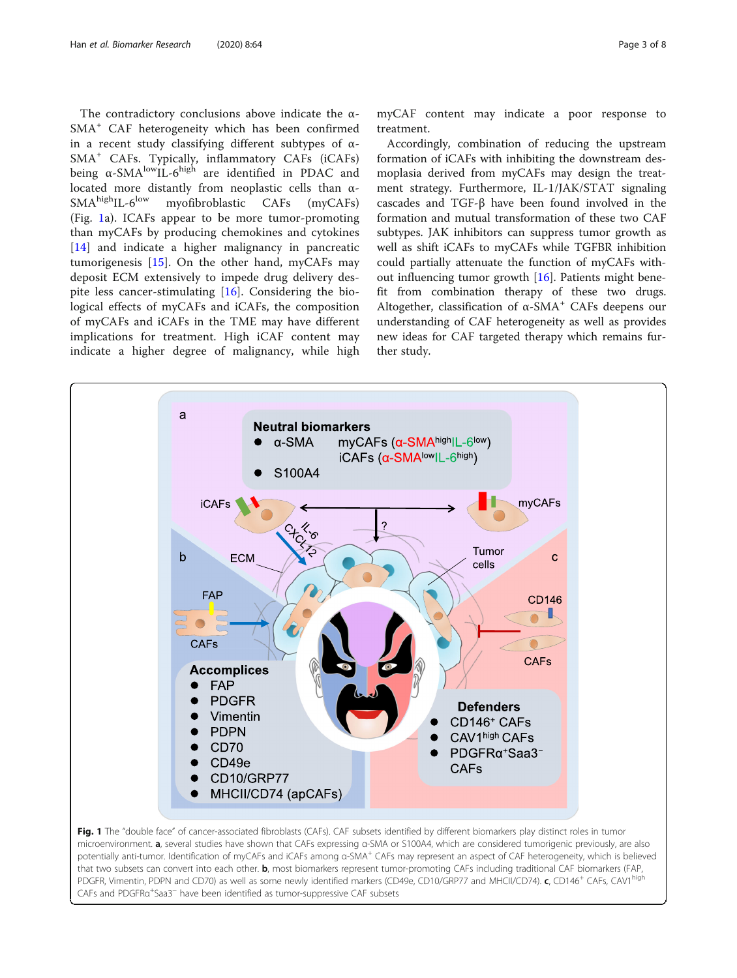<span id="page-2-0"></span>The contradictory conclusions above indicate the α-SMA<sup>+</sup> CAF heterogeneity which has been confirmed in a recent study classifying different subtypes of α-SMA<sup>+</sup> CAFs. Typically, inflammatory CAFs (iCAFs) being  $\alpha$ -SMA<sup>low</sup>IL-6<sup>high</sup> are identified in PDAC and located more distantly from neoplastic cells than  $\alpha$ -<br>SMA<sup>high</sup>IL-6<sup>low</sup> myofibroblastic CAFs (mvCAFs) myofibroblastic CAFs (myCAFs) (Fig. 1a). ICAFs appear to be more tumor-promoting than myCAFs by producing chemokines and cytokines [[14\]](#page-6-0) and indicate a higher malignancy in pancreatic tumorigenesis [[15\]](#page-6-0). On the other hand, myCAFs may deposit ECM extensively to impede drug delivery despite less cancer-stimulating [[16\]](#page-6-0). Considering the biological effects of myCAFs and iCAFs, the composition of myCAFs and iCAFs in the TME may have different implications for treatment. High iCAF content may indicate a higher degree of malignancy, while high

a

myCAF content may indicate a poor response to treatment.

Accordingly, combination of reducing the upstream formation of iCAFs with inhibiting the downstream desmoplasia derived from myCAFs may design the treatment strategy. Furthermore, IL-1/JAK/STAT signaling cascades and TGF-β have been found involved in the formation and mutual transformation of these two CAF subtypes. JAK inhibitors can suppress tumor growth as well as shift iCAFs to myCAFs while TGFBR inhibition could partially attenuate the function of myCAFs without influencing tumor growth [\[16](#page-6-0)]. Patients might benefit from combination therapy of these two drugs. Altogether, classification of  $\alpha$ -SMA<sup>+</sup> CAFs deepens our understanding of CAF heterogeneity as well as provides new ideas for CAF targeted therapy which remains further study.

myCAFs



 $myCAFs$  ( $\alpha$ -SMAhighIL-6low)

iCAFs  $(\alpha$ -SMA<sup>low</sup>IL-6<sup>high</sup>)

**Neutral biomarkers** 

 $\alpha$ -SMA

S100A4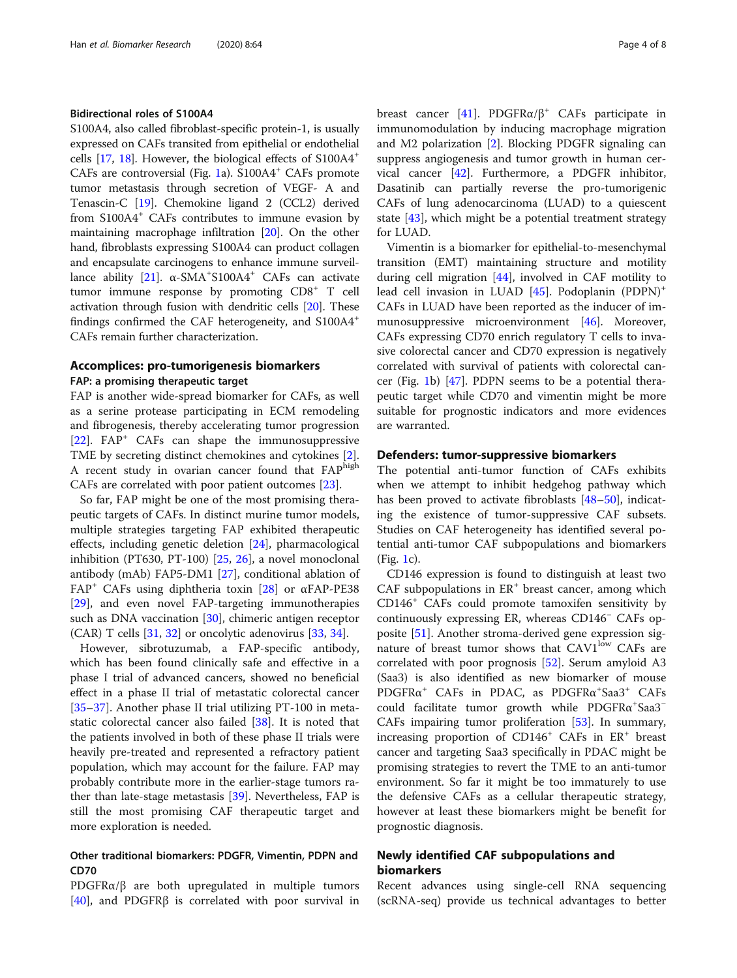### Bidirectional roles of S100A4

S100A4, also called fibroblast-specific protein-1, is usually expressed on CAFs transited from epithelial or endothelial cells  $[17, 18]$  $[17, 18]$  $[17, 18]$  $[17, 18]$ . However, the biological effects of S100A4<sup>+</sup> CAFs are controversial (Fig. [1a](#page-2-0)). S100A4<sup>+</sup> CAFs promote tumor metastasis through secretion of VEGF- A and Tenascin-C [\[19\]](#page-6-0). Chemokine ligand 2 (CCL2) derived from S100A4<sup>+</sup> CAFs contributes to immune evasion by maintaining macrophage infiltration [[20\]](#page-6-0). On the other hand, fibroblasts expressing S100A4 can product collagen and encapsulate carcinogens to enhance immune surveillance ability  $[21]$  $[21]$  $[21]$ .  $\alpha$ -SMA<sup>+</sup>S100A4<sup>+</sup> CAFs can activate tumor immune response by promoting CD8+ T cell activation through fusion with dendritic cells [\[20\]](#page-6-0). These findings confirmed the CAF heterogeneity, and S100A4<sup>+</sup> CAFs remain further characterization.

# Accomplices: pro-tumorigenesis biomarkers FAP: a promising therapeutic target

FAP is another wide-spread biomarker for CAFs, as well as a serine protease participating in ECM remodeling and fibrogenesis, thereby accelerating tumor progression  $[22]$  $[22]$ .  $FAP^+$  CAFs can shape the immunosuppressive TME by secreting distinct chemokines and cytokines [\[2](#page-5-0)]. A recent study in ovarian cancer found that FAPhigh CAFs are correlated with poor patient outcomes [\[23](#page-6-0)].

So far, FAP might be one of the most promising therapeutic targets of CAFs. In distinct murine tumor models, multiple strategies targeting FAP exhibited therapeutic effects, including genetic deletion [\[24](#page-6-0)], pharmacological inhibition (PT630, PT-100) [\[25](#page-6-0), [26\]](#page-6-0), a novel monoclonal antibody (mAb) FAP5-DM1 [[27\]](#page-6-0), conditional ablation of FAP<sup>+</sup> CAFs using diphtheria toxin [\[28\]](#page-6-0) or αFAP-PE38 [[29\]](#page-6-0), and even novel FAP-targeting immunotherapies such as DNA vaccination [[30\]](#page-6-0), chimeric antigen receptor (CAR) T cells [[31,](#page-6-0) [32\]](#page-6-0) or oncolytic adenovirus [[33,](#page-6-0) [34\]](#page-6-0).

However, sibrotuzumab, a FAP-specific antibody, which has been found clinically safe and effective in a phase I trial of advanced cancers, showed no beneficial effect in a phase II trial of metastatic colorectal cancer [[35](#page-6-0)–[37](#page-6-0)]. Another phase II trial utilizing PT-100 in metastatic colorectal cancer also failed [[38](#page-6-0)]. It is noted that the patients involved in both of these phase II trials were heavily pre-treated and represented a refractory patient population, which may account for the failure. FAP may probably contribute more in the earlier-stage tumors rather than late-stage metastasis [[39\]](#page-6-0). Nevertheless, FAP is still the most promising CAF therapeutic target and more exploration is needed.

# Other traditional biomarkers: PDGFR, Vimentin, PDPN and CD70

PDGFRα/β are both upregulated in multiple tumors [[40\]](#page-6-0), and PDGFRβ is correlated with poor survival in breast cancer [[41\]](#page-6-0). PDGFRα/β<sup>+</sup> CAFs participate in immunomodulation by inducing macrophage migration and M2 polarization [[2](#page-5-0)]. Blocking PDGFR signaling can suppress angiogenesis and tumor growth in human cervical cancer [\[42](#page-6-0)]. Furthermore, a PDGFR inhibitor, Dasatinib can partially reverse the pro-tumorigenic CAFs of lung adenocarcinoma (LUAD) to a quiescent state  $[43]$ , which might be a potential treatment strategy for LUAD.

Vimentin is a biomarker for epithelial-to-mesenchymal transition (EMT) maintaining structure and motility during cell migration [\[44](#page-6-0)], involved in CAF motility to lead cell invasion in LUAD [[45\]](#page-6-0). Podoplanin (PDPN)<sup>+</sup> CAFs in LUAD have been reported as the inducer of immunosuppressive microenvironment [\[46](#page-7-0)]. Moreover, CAFs expressing CD70 enrich regulatory T cells to invasive colorectal cancer and CD70 expression is negatively correlated with survival of patients with colorectal cancer (Fig. [1b](#page-2-0)) [\[47\]](#page-7-0). PDPN seems to be a potential therapeutic target while CD70 and vimentin might be more suitable for prognostic indicators and more evidences are warranted.

#### Defenders: tumor-suppressive biomarkers

The potential anti-tumor function of CAFs exhibits when we attempt to inhibit hedgehog pathway which has been proved to activate fibroblasts [[48](#page-7-0)–[50](#page-7-0)], indicating the existence of tumor-suppressive CAF subsets. Studies on CAF heterogeneity has identified several potential anti-tumor CAF subpopulations and biomarkers (Fig. [1](#page-2-0)c).

CD146 expression is found to distinguish at least two CAF subpopulations in  $ER^+$  breast cancer, among which CD146+ CAFs could promote tamoxifen sensitivity by continuously expressing ER, whereas CD146<sup>−</sup> CAFs opposite [\[51](#page-7-0)]. Another stroma-derived gene expression signature of breast tumor shows that  $CAV1^{low}$  CAFs are correlated with poor prognosis [[52\]](#page-7-0). Serum amyloid A3 (Saa3) is also identified as new biomarker of mouse PDGFRα<sup>+</sup> CAFs in PDAC, as PDGFRα<sup>+</sup>Saa3<sup>+</sup> CAFs could facilitate tumor growth while PDGFRα+Saa3-CAFs impairing tumor proliferation [\[53\]](#page-7-0). In summary, increasing proportion of  $CD146^+$  CAFs in  $ER^+$  breast cancer and targeting Saa3 specifically in PDAC might be promising strategies to revert the TME to an anti-tumor environment. So far it might be too immaturely to use the defensive CAFs as a cellular therapeutic strategy, however at least these biomarkers might be benefit for prognostic diagnosis.

# Newly identified CAF subpopulations and biomarkers

Recent advances using single-cell RNA sequencing (scRNA-seq) provide us technical advantages to better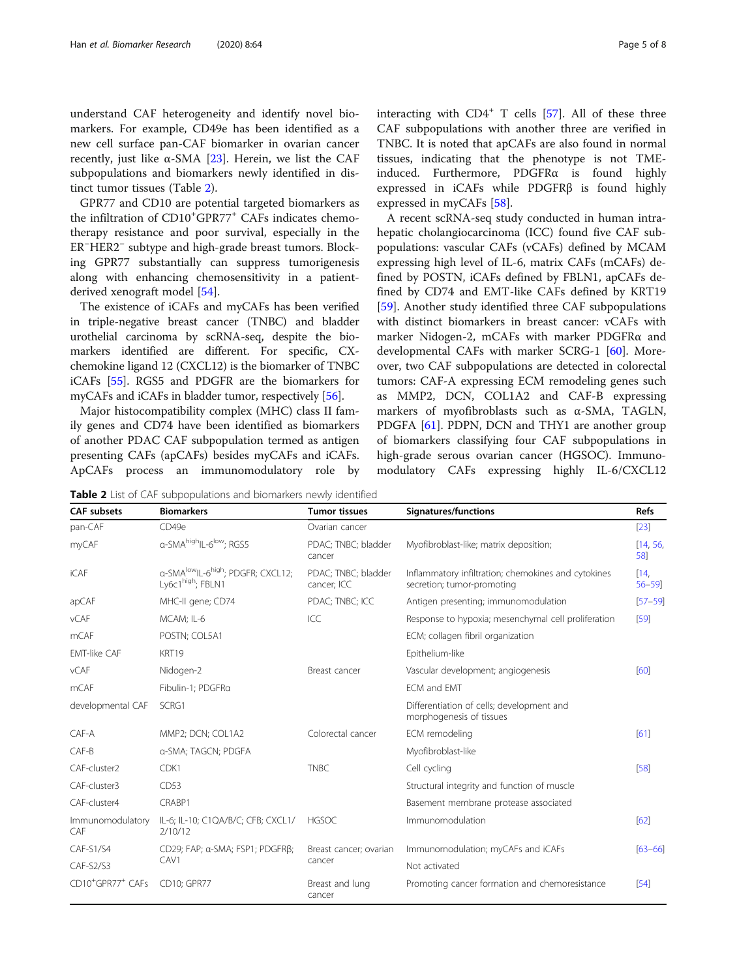understand CAF heterogeneity and identify novel biomarkers. For example, CD49e has been identified as a new cell surface pan-CAF biomarker in ovarian cancer recently, just like  $α$ -SMA [[23\]](#page-6-0). Herein, we list the CAF subpopulations and biomarkers newly identified in distinct tumor tissues (Table 2).

GPR77 and CD10 are potential targeted biomarkers as the infiltration of CD10<sup>+</sup>GPR77<sup>+</sup> CAFs indicates chemotherapy resistance and poor survival, especially in the ER<sup>−</sup> HER2<sup>−</sup> subtype and high-grade breast tumors. Blocking GPR77 substantially can suppress tumorigenesis along with enhancing chemosensitivity in a patientderived xenograft model [[54](#page-7-0)].

The existence of iCAFs and myCAFs has been verified in triple-negative breast cancer (TNBC) and bladder urothelial carcinoma by scRNA-seq, despite the biomarkers identified are different. For specific, CXchemokine ligand 12 (CXCL12) is the biomarker of TNBC iCAFs [[55](#page-7-0)]. RGS5 and PDGFR are the biomarkers for myCAFs and iCAFs in bladder tumor, respectively [\[56](#page-7-0)].

Major histocompatibility complex (MHC) class II family genes and CD74 have been identified as biomarkers of another PDAC CAF subpopulation termed as antigen presenting CAFs (apCAFs) besides myCAFs and iCAFs. ApCAFs process an immunomodulatory role by interacting with  $CD4^+$  T cells [[57](#page-7-0)]. All of these three CAF subpopulations with another three are verified in TNBC. It is noted that apCAFs are also found in normal tissues, indicating that the phenotype is not TMEinduced. Furthermore, PDGFRα is found highly expressed in iCAFs while PDGFRβ is found highly expressed in myCAFs [\[58](#page-7-0)].

A recent scRNA-seq study conducted in human intrahepatic cholangiocarcinoma (ICC) found five CAF subpopulations: vascular CAFs (vCAFs) defined by MCAM expressing high level of IL-6, matrix CAFs (mCAFs) defined by POSTN, iCAFs defined by FBLN1, apCAFs defined by CD74 and EMT-like CAFs defined by KRT19 [[59\]](#page-7-0). Another study identified three CAF subpopulations with distinct biomarkers in breast cancer: vCAFs with marker Nidogen-2, mCAFs with marker PDGFRα and developmental CAFs with marker SCRG-1 [\[60\]](#page-7-0). Moreover, two CAF subpopulations are detected in colorectal tumors: CAF-A expressing ECM remodeling genes such as MMP2, DCN, COL1A2 and CAF-B expressing markers of myofibroblasts such as α-SMA, TAGLN, PDGFA [\[61](#page-7-0)]. PDPN, DCN and THY1 are another group of biomarkers classifying four CAF subpopulations in high-grade serous ovarian cancer (HGSOC). Immunomodulatory CAFs expressing highly IL-6/CXCL12

| <b>CAF</b> subsets                        | <b>Biomarkers</b>                                                              | <b>Tumor tissues</b>               | Signatures/functions                                                              | <b>Refs</b>       |
|-------------------------------------------|--------------------------------------------------------------------------------|------------------------------------|-----------------------------------------------------------------------------------|-------------------|
| pan-CAF                                   | CD49e                                                                          | Ovarian cancer                     |                                                                                   | $[23]$            |
| myCAF                                     | a-SMA <sup>high</sup> IL-6 <sup>low</sup> ; RGS5                               | PDAC; TNBC; bladder<br>cancer      | Myofibroblast-like; matrix deposition;                                            | [14, 56,<br>58]   |
| <b>iCAF</b>                               | a-SMA <sup>low</sup> IL-6 <sup>high</sup> ; PDGFR; CXCL12;<br>Ly6c1high; FBLN1 | PDAC; TNBC; bladder<br>cancer; ICC | Inflammatory infiltration; chemokines and cytokines<br>secretion; tumor-promoting | [14,<br>$56 - 59$ |
| apCAF                                     | MHC-II gene; CD74                                                              | PDAC; TNBC; ICC                    | Antigen presenting; immunomodulation                                              | $[57 - 59]$       |
| vCAF                                      | MCAM; IL-6                                                                     | ICC                                | Response to hypoxia; mesenchymal cell proliferation                               | [59]              |
| mCAF                                      | POSTN; COL5A1                                                                  |                                    | ECM; collagen fibril organization                                                 |                   |
| <b>EMT-like CAF</b>                       | KRT19                                                                          |                                    | Epithelium-like                                                                   |                   |
| <b>vCAF</b>                               | Nidogen-2                                                                      | Breast cancer                      | Vascular development; angiogenesis                                                | [60]              |
| mCAF                                      | Fibulin-1; PDGFRa                                                              |                                    | ECM and EMT                                                                       |                   |
| developmental CAF                         | SCRG1                                                                          |                                    | Differentiation of cells; development and<br>morphogenesis of tissues             |                   |
| CAF-A                                     | MMP2; DCN; COL1A2                                                              | Colorectal cancer                  | ECM remodeling                                                                    | [61]              |
| $CAF-B$                                   | a-SMA; TAGCN; PDGFA                                                            |                                    | Myofibroblast-like                                                                |                   |
| CAF-cluster2                              | CDK1                                                                           | <b>TNBC</b>                        | Cell cycling                                                                      | [58]              |
| CAF-cluster3                              | CD53                                                                           |                                    | Structural integrity and function of muscle                                       |                   |
| CAF-cluster4                              | CRABP1                                                                         |                                    | Basement membrane protease associated                                             |                   |
| Immunomodulatory<br>CAF                   | IL-6; IL-10; C1QA/B/C; CFB; CXCL1/<br>2/10/12                                  | <b>HGSOC</b>                       | Immunomodulation                                                                  | [62]              |
| CAF-S1/S4                                 | CD29; FAP; a-SMA; FSP1; PDGFRB;                                                | Breast cancer; ovarian<br>cancer   | Immunomodulation; myCAFs and iCAFs                                                | $[63 - 66]$       |
| CAF-S2/S3                                 | CAV <sub>1</sub>                                                               |                                    | Not activated                                                                     |                   |
| CD10 <sup>+</sup> GPR77 <sup>+</sup> CAFs | CD10; GPR77                                                                    | Breast and lung<br>cancer          | Promoting cancer formation and chemoresistance                                    | [54]              |

Table 2 List of CAF subpopulations and biomarkers newly identified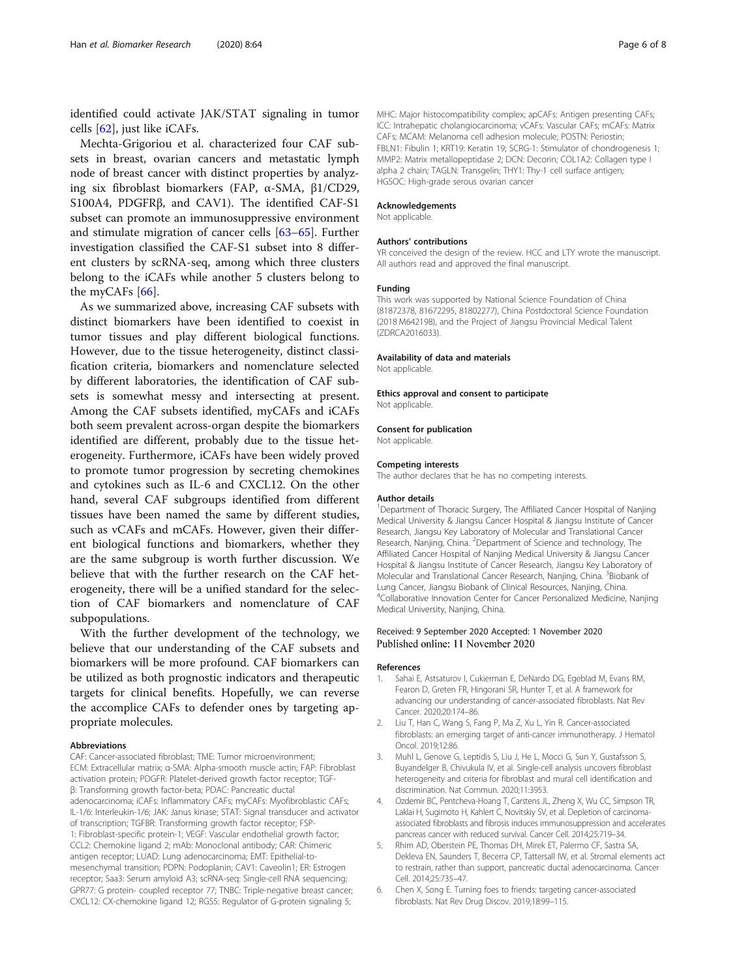<span id="page-5-0"></span>identified could activate JAK/STAT signaling in tumor cells [[62](#page-7-0)], just like iCAFs.

Mechta-Grigoriou et al. characterized four CAF subsets in breast, ovarian cancers and metastatic lymph node of breast cancer with distinct properties by analyzing six fibroblast biomarkers (FAP, α-SMA, β1/CD29, S100A4, PDGFRβ, and CAV1). The identified CAF-S1 subset can promote an immunosuppressive environment and stimulate migration of cancer cells [[63](#page-7-0)–[65](#page-7-0)]. Further investigation classified the CAF-S1 subset into 8 different clusters by scRNA-seq, among which three clusters belong to the iCAFs while another 5 clusters belong to the myCAFs [[66\]](#page-7-0).

As we summarized above, increasing CAF subsets with distinct biomarkers have been identified to coexist in tumor tissues and play different biological functions. However, due to the tissue heterogeneity, distinct classification criteria, biomarkers and nomenclature selected by different laboratories, the identification of CAF subsets is somewhat messy and intersecting at present. Among the CAF subsets identified, myCAFs and iCAFs both seem prevalent across-organ despite the biomarkers identified are different, probably due to the tissue heterogeneity. Furthermore, iCAFs have been widely proved to promote tumor progression by secreting chemokines and cytokines such as IL-6 and CXCL12. On the other hand, several CAF subgroups identified from different tissues have been named the same by different studies, such as vCAFs and mCAFs. However, given their different biological functions and biomarkers, whether they are the same subgroup is worth further discussion. We believe that with the further research on the CAF heterogeneity, there will be a unified standard for the selection of CAF biomarkers and nomenclature of CAF subpopulations.

With the further development of the technology, we believe that our understanding of the CAF subsets and biomarkers will be more profound. CAF biomarkers can be utilized as both prognostic indicators and therapeutic targets for clinical benefits. Hopefully, we can reverse the accomplice CAFs to defender ones by targeting appropriate molecules.

#### Abbreviations

CAF: Cancer-associated fibroblast; TME: Tumor microenvironment; ECM: Extracellular matrix; α-SMA: Αlpha-smooth muscle actin; FAP: Fibroblast activation protein; PDGFR: Platelet-derived growth factor receptor; TGFβ: Transforming growth factor-beta; PDAC: Pancreatic ductal adenocarcinoma; iCAFs: Inflammatory CAFs; myCAFs: Myofibroblastic CAFs; IL-1/6: Interleukin-1/6; JAK: Janus kinase; STAT: Signal transducer and activator of transcription; TGFBR: Transforming growth factor receptor; FSP-1: Fibroblast-specific protein-1; VEGF: Vascular endothelial growth factor; CCL2: Chemokine ligand 2; mAb: Monoclonal antibody; CAR: Chimeric antigen receptor; LUAD: Lung adenocarcinoma; EMT: Epithelial-tomesenchymal transition; PDPN: Podoplanin; CAV1: Caveolin1; ER: Estrogen receptor; Saa3: Serum amyloid A3; scRNA-seq: Single-cell RNA sequencing; GPR77: G protein- coupled receptor 77; TNBC: Triple-negative breast cancer; CXCL12: CX-chemokine ligand 12; RGS5: Regulator of G-protein signaling 5;

MHC: Major histocompatibility complex; apCAFs: Antigen presenting CAFs; ICC: Intrahepatic cholangiocarcinoma; vCAFs: Vascular CAFs; mCAFs: Matrix CAFs; MCAM: Melanoma cell adhesion molecule; POSTN: Periostin; FBLN1: Fibulin 1; KRT19: Keratin 19; SCRG-1: Stimulator of chondrogenesis 1; MMP2: Matrix metallopeptidase 2; DCN: Decorin; COL1A2: Collagen type I alpha 2 chain; TAGLN: Transgelin; THY1: Thy-1 cell surface antigen; HGSOC: High-grade serous ovarian cancer

#### Acknowledgements

Not applicable.

#### Authors' contributions

YR conceived the design of the review. HCC and LTY wrote the manuscript. All authors read and approved the final manuscript.

#### Funding

This work was supported by National Science Foundation of China (81872378, 81672295, 81802277), China Postdoctoral Science Foundation (2018 M642198), and the Project of Jiangsu Provincial Medical Talent (ZDRCA2016033).

#### Availability of data and materials

Not applicable.

#### Ethics approval and consent to participate Not applicable.

# Consent for publication

Not applicable.

#### Competing interests

The author declares that he has no competing interests.

#### Author details

<sup>1</sup>Department of Thoracic Surgery, The Affiliated Cancer Hospital of Nanjing Medical University & Jiangsu Cancer Hospital & Jiangsu Institute of Cancer Research, Jiangsu Key Laboratory of Molecular and Translational Cancer Research, Nanjing, China. <sup>2</sup>Department of Science and technology, The Affiliated Cancer Hospital of Nanjing Medical University & Jiangsu Cancer Hospital & Jiangsu Institute of Cancer Research, Jiangsu Key Laboratory of Molecular and Translational Cancer Research, Nanjing, China. <sup>3</sup>Biobank of Lung Cancer, Jiangsu Biobank of Clinical Resources, Nanjing, China. 4 Collaborative Innovation Center for Cancer Personalized Medicine, Nanjing Medical University, Nanjing, China.

#### Received: 9 September 2020 Accepted: 1 November 2020 Published online: 11 November 2020

#### References

- 1. Sahai E, Astsaturov I, Cukierman E, DeNardo DG, Egeblad M, Evans RM, Fearon D, Greten FR, Hingorani SR, Hunter T, et al. A framework for advancing our understanding of cancer-associated fibroblasts. Nat Rev Cancer. 2020;20:174–86.
- Liu T, Han C, Wang S, Fang P, Ma Z, Xu L, Yin R. Cancer-associated fibroblasts: an emerging target of anti-cancer immunotherapy. J Hematol Oncol. 2019;12:86.
- 3. Muhl L, Genove G, Leptidis S, Liu J, He L, Mocci G, Sun Y, Gustafsson S, Buyandelger B, Chivukula IV, et al. Single-cell analysis uncovers fibroblast heterogeneity and criteria for fibroblast and mural cell identification and discrimination. Nat Commun. 2020;11:3953.
- 4. Ozdemir BC, Pentcheva-Hoang T, Carstens JL, Zheng X, Wu CC, Simpson TR, Laklai H, Sugimoto H, Kahlert C, Novitskiy SV, et al. Depletion of carcinomaassociated fibroblasts and fibrosis induces immunosuppression and accelerates pancreas cancer with reduced survival. Cancer Cell. 2014;25:719–34.
- 5. Rhim AD, Oberstein PE, Thomas DH, Mirek ET, Palermo CF, Sastra SA, Dekleva EN, Saunders T, Becerra CP, Tattersall IW, et al. Stromal elements act to restrain, rather than support, pancreatic ductal adenocarcinoma. Cancer Cell. 2014;25:735–47.
- 6. Chen X, Song E. Turning foes to friends: targeting cancer-associated fibroblasts. Nat Rev Drug Discov. 2019;18:99–115.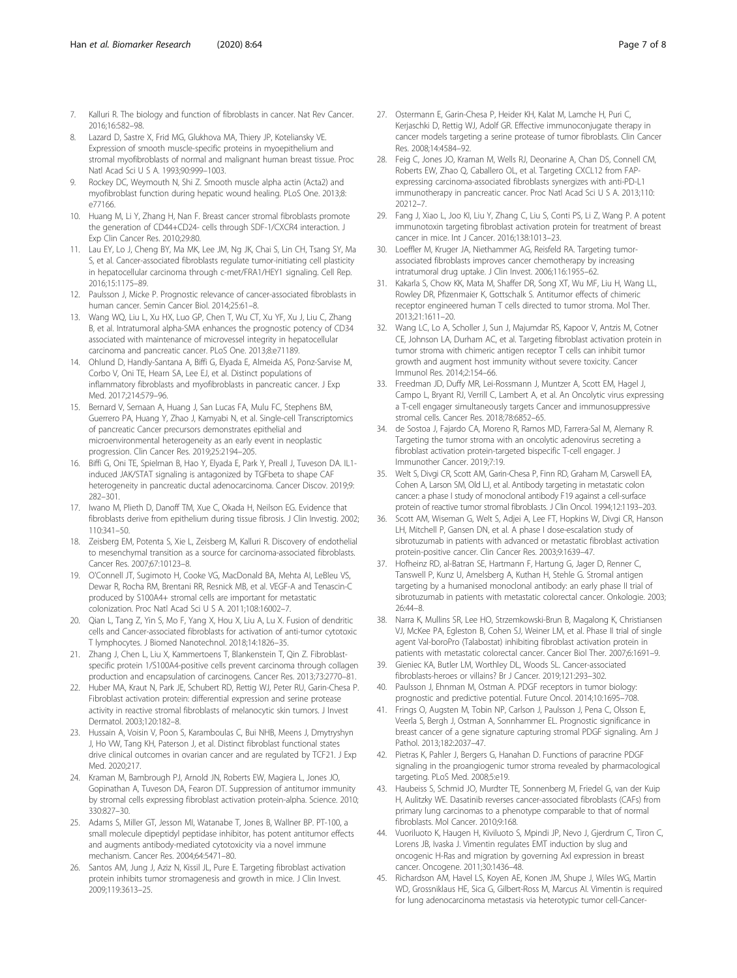- <span id="page-6-0"></span>7. Kalluri R. The biology and function of fibroblasts in cancer. Nat Rev Cancer. 2016;16:582–98.
- 8. Lazard D, Sastre X, Frid MG, Glukhova MA, Thiery JP, Koteliansky VE. Expression of smooth muscle-specific proteins in myoepithelium and stromal myofibroblasts of normal and malignant human breast tissue. Proc Natl Acad Sci U S A. 1993;90:999–1003.
- Rockey DC, Weymouth N, Shi Z. Smooth muscle alpha actin (Acta2) and myofibroblast function during hepatic wound healing. PLoS One. 2013;8: e77166.
- 10. Huang M, Li Y, Zhang H, Nan F. Breast cancer stromal fibroblasts promote the generation of CD44+CD24- cells through SDF-1/CXCR4 interaction. J Exp Clin Cancer Res. 2010;29:80.
- 11. Lau EY, Lo J, Cheng BY, Ma MK, Lee JM, Ng JK, Chai S, Lin CH, Tsang SY, Ma S, et al. Cancer-associated fibroblasts regulate tumor-initiating cell plasticity in hepatocellular carcinoma through c-met/FRA1/HEY1 signaling. Cell Rep. 2016;15:1175–89.
- 12. Paulsson J, Micke P. Prognostic relevance of cancer-associated fibroblasts in human cancer. Semin Cancer Biol. 2014;25:61–8.
- 13. Wang WQ, Liu L, Xu HX, Luo GP, Chen T, Wu CT, Xu YF, Xu J, Liu C, Zhang B, et al. Intratumoral alpha-SMA enhances the prognostic potency of CD34 associated with maintenance of microvessel integrity in hepatocellular carcinoma and pancreatic cancer. PLoS One. 2013;8:e71189.
- 14. Ohlund D, Handly-Santana A, Biffi G, Elyada E, Almeida AS, Ponz-Sarvise M, Corbo V, Oni TE, Hearn SA, Lee EJ, et al. Distinct populations of inflammatory fibroblasts and myofibroblasts in pancreatic cancer. J Exp Med. 2017;214:579–96.
- 15. Bernard V, Semaan A, Huang J, San Lucas FA, Mulu FC, Stephens BM, Guerrero PA, Huang Y, Zhao J, Kamyabi N, et al. Single-cell Transcriptomics of pancreatic Cancer precursors demonstrates epithelial and microenvironmental heterogeneity as an early event in neoplastic progression. Clin Cancer Res. 2019;25:2194–205.
- Biffi G, Oni TE, Spielman B, Hao Y, Elyada E, Park Y, Preall J, Tuveson DA. IL1induced JAK/STAT signaling is antagonized by TGFbeta to shape CAF heterogeneity in pancreatic ductal adenocarcinoma. Cancer Discov. 2019;9: 282–301.
- 17. Iwano M, Plieth D, Danoff TM, Xue C, Okada H, Neilson EG. Evidence that fibroblasts derive from epithelium during tissue fibrosis. J Clin Investig. 2002; 110:341–50.
- 18. Zeisberg EM, Potenta S, Xie L, Zeisberg M, Kalluri R. Discovery of endothelial to mesenchymal transition as a source for carcinoma-associated fibroblasts. Cancer Res. 2007;67:10123–8.
- 19. O'Connell JT, Sugimoto H, Cooke VG, MacDonald BA, Mehta AI, LeBleu VS, Dewar R, Rocha RM, Brentani RR, Resnick MB, et al. VEGF-A and Tenascin-C produced by S100A4+ stromal cells are important for metastatic colonization. Proc Natl Acad Sci U S A. 2011;108:16002–7.
- 20. Qian L, Tang Z, Yin S, Mo F, Yang X, Hou X, Liu A, Lu X. Fusion of dendritic cells and Cancer-associated fibroblasts for activation of anti-tumor cytotoxic T lymphocytes. J Biomed Nanotechnol. 2018;14:1826–35.
- 21. Zhang J, Chen L, Liu X, Kammertoens T, Blankenstein T, Qin Z. Fibroblastspecific protein 1/S100A4-positive cells prevent carcinoma through collagen production and encapsulation of carcinogens. Cancer Res. 2013;73:2770–81.
- 22. Huber MA, Kraut N, Park JE, Schubert RD, Rettig WJ, Peter RU, Garin-Chesa P. Fibroblast activation protein: differential expression and serine protease activity in reactive stromal fibroblasts of melanocytic skin tumors. J Invest Dermatol. 2003;120:182–8.
- 23. Hussain A, Voisin V, Poon S, Karamboulas C, Bui NHB, Meens J, Dmytryshyn J, Ho VW, Tang KH, Paterson J, et al. Distinct fibroblast functional states drive clinical outcomes in ovarian cancer and are regulated by TCF21. J Exp Med. 2020;217.
- 24. Kraman M, Bambrough PJ, Arnold JN, Roberts EW, Magiera L, Jones JO, Gopinathan A, Tuveson DA, Fearon DT. Suppression of antitumor immunity by stromal cells expressing fibroblast activation protein-alpha. Science. 2010; 330:827–30.
- 25. Adams S, Miller GT, Jesson MI, Watanabe T, Jones B, Wallner BP. PT-100, a small molecule dipeptidyl peptidase inhibitor, has potent antitumor effects and augments antibody-mediated cytotoxicity via a novel immune mechanism. Cancer Res. 2004;64:5471–80.
- 26. Santos AM, Jung J, Aziz N, Kissil JL, Pure E. Targeting fibroblast activation protein inhibits tumor stromagenesis and growth in mice. J Clin Invest. 2009;119:3613–25.
- 27. Ostermann E, Garin-Chesa P, Heider KH, Kalat M, Lamche H, Puri C, Kerjaschki D, Rettig WJ, Adolf GR. Effective immunoconjugate therapy in cancer models targeting a serine protease of tumor fibroblasts. Clin Cancer Res. 2008;14:4584–92.
- 28. Feig C, Jones JO, Kraman M, Wells RJ, Deonarine A, Chan DS, Connell CM, Roberts EW, Zhao Q, Caballero OL, et al. Targeting CXCL12 from FAPexpressing carcinoma-associated fibroblasts synergizes with anti-PD-L1 immunotherapy in pancreatic cancer. Proc Natl Acad Sci U S A. 2013;110: 20212–7.
- 29. Fang J, Xiao L, Joo KI, Liu Y, Zhang C, Liu S, Conti PS, Li Z, Wang P. A potent immunotoxin targeting fibroblast activation protein for treatment of breast cancer in mice. Int J Cancer. 2016;138:1013–23.
- 30. Loeffler M, Kruger JA, Niethammer AG, Reisfeld RA. Targeting tumorassociated fibroblasts improves cancer chemotherapy by increasing intratumoral drug uptake. J Clin Invest. 2006;116:1955–62.
- 31. Kakarla S, Chow KK, Mata M, Shaffer DR, Song XT, Wu MF, Liu H, Wang LL, Rowley DR, Pfizenmaier K, Gottschalk S. Antitumor effects of chimeric receptor engineered human T cells directed to tumor stroma. Mol Ther. 2013;21:1611–20.
- 32. Wang LC, Lo A, Scholler J, Sun J, Majumdar RS, Kapoor V, Antzis M, Cotner CE, Johnson LA, Durham AC, et al. Targeting fibroblast activation protein in tumor stroma with chimeric antigen receptor T cells can inhibit tumor growth and augment host immunity without severe toxicity. Cancer Immunol Res. 2014;2:154–66.
- 33. Freedman JD, Duffy MR, Lei-Rossmann J, Muntzer A, Scott EM, Hagel J, Campo L, Bryant RJ, Verrill C, Lambert A, et al. An Oncolytic virus expressing a T-cell engager simultaneously targets Cancer and immunosuppressive stromal cells. Cancer Res. 2018;78:6852–65.
- 34. de Sostoa J, Fajardo CA, Moreno R, Ramos MD, Farrera-Sal M, Alemany R. Targeting the tumor stroma with an oncolytic adenovirus secreting a fibroblast activation protein-targeted bispecific T-cell engager. J Immunother Cancer. 2019;7:19.
- 35. Welt S, Divgi CR, Scott AM, Garin-Chesa P, Finn RD, Graham M, Carswell EA, Cohen A, Larson SM, Old LJ, et al. Antibody targeting in metastatic colon cancer: a phase I study of monoclonal antibody F19 against a cell-surface protein of reactive tumor stromal fibroblasts. J Clin Oncol. 1994;12:1193–203.
- 36. Scott AM, Wiseman G, Welt S, Adjei A, Lee FT, Hopkins W, Divgi CR, Hanson LH, Mitchell P, Gansen DN, et al. A phase I dose-escalation study of sibrotuzumab in patients with advanced or metastatic fibroblast activation protein-positive cancer. Clin Cancer Res. 2003;9:1639–47.
- 37. Hofheinz RD, al-Batran SE, Hartmann F, Hartung G, Jager D, Renner C, Tanswell P, Kunz U, Amelsberg A, Kuthan H, Stehle G. Stromal antigen targeting by a humanised monoclonal antibody: an early phase II trial of sibrotuzumab in patients with metastatic colorectal cancer. Onkologie. 2003; 26:44–8.
- 38. Narra K, Mullins SR, Lee HO, Strzemkowski-Brun B, Magalong K, Christiansen VJ, McKee PA, Egleston B, Cohen SJ, Weiner LM, et al. Phase II trial of single agent Val-boroPro (Talabostat) inhibiting fibroblast activation protein in patients with metastatic colorectal cancer. Cancer Biol Ther. 2007;6:1691–9.
- 39. Gieniec KA, Butler LM, Worthley DL, Woods SL. Cancer-associated fibroblasts-heroes or villains? Br J Cancer. 2019;121:293–302.
- Paulsson J, Ehnman M, Ostman A. PDGF receptors in tumor biology: prognostic and predictive potential. Future Oncol. 2014;10:1695–708.
- 41. Frings O, Augsten M, Tobin NP, Carlson J, Paulsson J, Pena C, Olsson E, Veerla S, Bergh J, Ostman A, Sonnhammer EL. Prognostic significance in breast cancer of a gene signature capturing stromal PDGF signaling. Am J Pathol. 2013;182:2037–47.
- 42. Pietras K, Pahler J, Bergers G, Hanahan D. Functions of paracrine PDGF signaling in the proangiogenic tumor stroma revealed by pharmacological targeting. PLoS Med. 2008;5:e19.
- 43. Haubeiss S, Schmid JO, Murdter TE, Sonnenberg M, Friedel G, van der Kuip H, Aulitzky WE. Dasatinib reverses cancer-associated fibroblasts (CAFs) from primary lung carcinomas to a phenotype comparable to that of normal fibroblasts. Mol Cancer. 2010;9:168.
- 44. Vuoriluoto K, Haugen H, Kiviluoto S, Mpindi JP, Nevo J, Gjerdrum C, Tiron C, Lorens JB, Ivaska J. Vimentin regulates EMT induction by slug and oncogenic H-Ras and migration by governing Axl expression in breast cancer. Oncogene. 2011;30:1436–48.
- 45. Richardson AM, Havel LS, Koyen AE, Konen JM, Shupe J, Wiles WG, Martin WD, Grossniklaus HE, Sica G, Gilbert-Ross M, Marcus AI. Vimentin is required for lung adenocarcinoma metastasis via heterotypic tumor cell-Cancer-